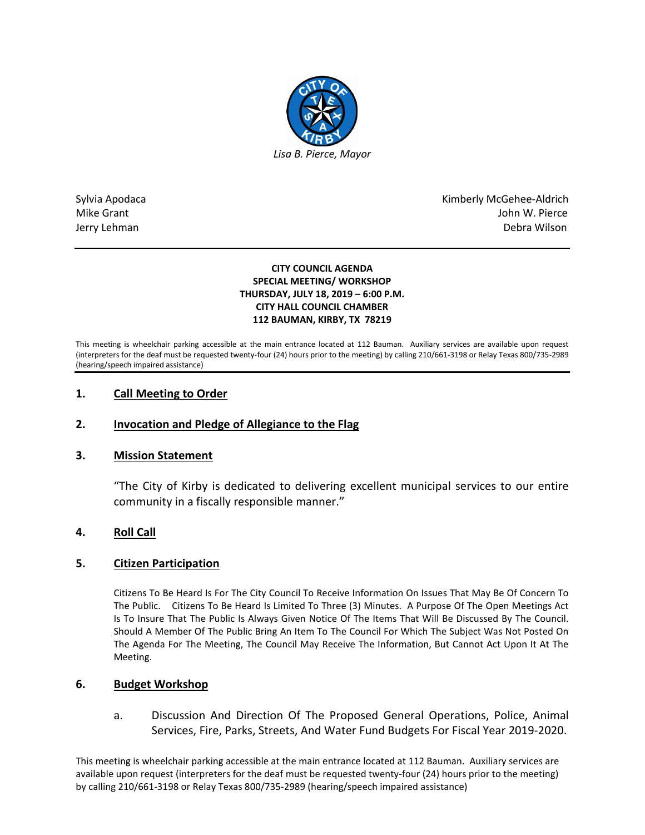

Sylvia Apodaca National Apodaca Kimberly McGehee-Aldrich Mike Grant John W. Pierce Jerry Lehman Debra Wilson

## **CITY COUNCIL AGENDA SPECIAL MEETING/ WORKSHOP THURSDAY, JULY 18, 2019 – 6:00 P.M. CITY HALL COUNCIL CHAMBER 112 BAUMAN, KIRBY, TX 78219**

This meeting is wheelchair parking accessible at the main entrance located at 112 Bauman. Auxiliary services are available upon request (interpreters for the deaf must be requested twenty-four (24) hours prior to the meeting) by calling 210/661-3198 or Relay Texas 800/735-2989 (hearing/speech impaired assistance)

# **1. Call Meeting to Order**

# **2. Invocation and Pledge of Allegiance to the Flag**

## **3. Mission Statement**

"The City of Kirby is dedicated to delivering excellent municipal services to our entire community in a fiscally responsible manner."

# **4. Roll Call**

## **5. Citizen Participation**

Citizens To Be Heard Is For The City Council To Receive Information On Issues That May Be Of Concern To The Public. Citizens To Be Heard Is Limited To Three (3) Minutes. A Purpose Of The Open Meetings Act Is To Insure That The Public Is Always Given Notice Of The Items That Will Be Discussed By The Council. Should A Member Of The Public Bring An Item To The Council For Which The Subject Was Not Posted On The Agenda For The Meeting, The Council May Receive The Information, But Cannot Act Upon It At The Meeting.

## **6. Budget Workshop**

a. Discussion And Direction Of The Proposed General Operations, Police, Animal Services, Fire, Parks, Streets, And Water Fund Budgets For Fiscal Year 2019-2020.

This meeting is wheelchair parking accessible at the main entrance located at 112 Bauman. Auxiliary services are available upon request (interpreters for the deaf must be requested twenty-four (24) hours prior to the meeting) by calling 210/661-3198 or Relay Texas 800/735-2989 (hearing/speech impaired assistance)